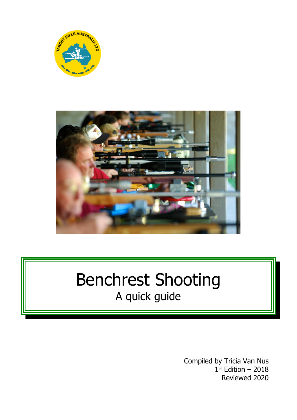



# Benchrest Shooting A quick guide

Compiled by Tricia Van Nus 1 st Edition – 2018 Reviewed 2020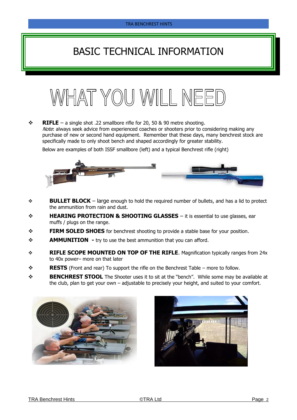# BASIC TECHNICAL INFORMATION



❖ **RIFLE** – a single shot .22 smallbore rifle for 20, 50 & 90 metre shooting. Note: always seek advice from experienced coaches or shooters prior to considering making any purchase of new or second hand equipment. Remember that these days, many benchrest stock are specifically made to only shoot bench and shaped accordingly for greater stability.

Below are examples of both ISSF smallbore (left) and a typical Benchrest rifle (right)



- ❖ **BULLET BLOCK** large enough to hold the required number of bullets, and has a lid to protect the ammunition from rain and dust.
- ❖ **HEARING PROTECTION & SHOOTING GLASSES** it is essential to use glasses, ear muffs / plugs on the range.
- ❖ **FIRM SOLED SHOES** for benchrest shooting to provide a stable base for your position.
- ❖ **AMMUNITION -** try to use the best ammunition that you can afford.
- ❖ **RIFLE SCOPE MOUNTED ON TOP OF THE RIFLE**. Magnification typically ranges from 24x to 40x power– more on that later
- ❖ **RESTS** (Front and rear) To support the rifle on the Benchrest Table more to follow.
- ❖ **BENCHREST STOOL** The Shooter uses it to sit at the "bench". While some may be available at the club, plan to get your own – adjustable to precisely your height, and suited to your comfort.



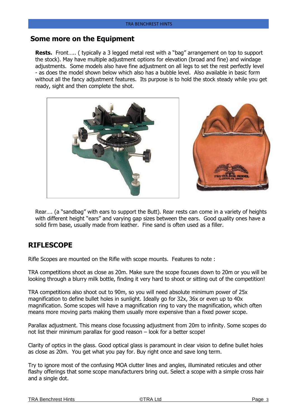#### **Some more on the Equipment**

**Rests.** Front….. ( typically a 3 legged metal rest with a "bag" arrangement on top to support the stock). May have multiple adjustment options for elevation (broad and fine) and windage adjustments. Some models also have fine adjustment on all legs to set the rest perfectly level - as does the model shown below which also has a bubble level. Also available in basic form without all the fancy adjustment features. Its purpose is to hold the stock steady while you get ready, sight and then complete the shot.



Rear…. (a "sandbag" with ears to support the Butt). Rear rests can come in a variety of heights with different height "ears" and varying gap sizes between the ears. Good quality ones have a solid firm base, usually made from leather. Fine sand is often used as a filler.

#### **RIFLESCOPE**

Rifle Scopes are mounted on the Rifle with scope mounts. Features to note :

TRA competitions shoot as close as 20m. Make sure the scope focuses down to 20m or you will be looking through a blurry milk bottle, finding it very hard to shoot or sitting out of the competition!

TRA competitions also shoot out to 90m, so you will need absolute minimum power of 25x magnification to define bullet holes in sunlight. Ideally go for 32x, 36x or even up to 40x magnification. Some scopes will have a magnification ring to vary the magnification, which often means more moving parts making them usually more expensive than a fixed power scope.

Parallax adjustment. This means close focussing adjustment from 20m to infinity. Some scopes do not list their minimum parallax for good reason – look for a better scope!

Clarity of optics in the glass. Good optical glass is paramount in clear vision to define bullet holes as close as 20m. You get what you pay for. Buy right once and save long term.

Try to ignore most of the confusing MOA clutter lines and angles, illuminated reticules and other flashy offerings that some scope manufacturers bring out. Select a scope with a simple cross hair and a single dot.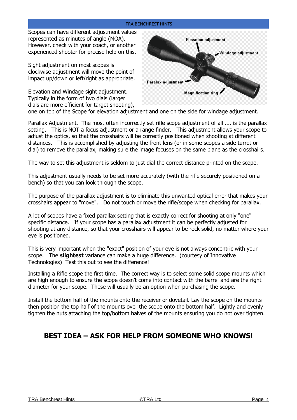Scopes can have different adjustment values represented as minutes of angle (MOA). However, check with your coach, or another experienced shooter for precise help on this.

Sight adjustment on most scopes is clockwise adjustment will move the point of impact up/down or left/right as appropriate.

Elevation and Windage sight adjustment. Typically in the form of two dials (larger dials are more efficient for target shooting),



one on top of the Scope for elevation adjustment and one on the side for windage adjustment.

Parallax Adjustment. The most often incorrectly set rifle scope adjustment of all .... is the parallax setting. This is NOT a focus adjustment or a range finder. This adjustment allows your scope to adjust the optics, so that the crosshairs will be correctly positioned when shooting at different distances. This is accomplished by adjusting the front lens (or in some scopes a side turret or dial) to remove the parallax, making sure the image focuses on the same plane as the crosshairs.

The way to set this adjustment is seldom to just dial the correct distance printed on the scope.

This adjustment usually needs to be set more accurately (with the rifle securely positioned on a bench) so that you can look through the scope.

The purpose of the parallax adjustment is to eliminate this unwanted optical error that makes your crosshairs appear to "move". Do not touch or move the rifle/scope when checking for parallax.

A lot of scopes have a fixed parallax setting that is exactly correct for shooting at only "one" specific distance. If your scope has a parallax adjustment it can be perfectly adjusted for shooting at any distance, so that your crosshairs will appear to be rock solid, no matter where your eye is positioned.

This is very important when the "exact" position of your eye is not always concentric with your scope. The **slightest** variance can make a huge difference. (courtesy of Innovative Technologies) Test this out to see the difference!

Installing a Rifle scope the first time. The correct way is to select some solid scope mounts which are high enough to ensure the scope doesn't come into contact with the barrel and are the right diameter for your scope. These will usually be an option when purchasing the scope.

Install the bottom half of the mounts onto the receiver or dovetail. Lay the scope on the mounts then position the top half of the mounts over the scope onto the bottom half. Lightly and evenly tighten the nuts attaching the top/bottom halves of the mounts ensuring you do not over tighten.

#### **BEST IDEA – ASK FOR HELP FROM SOMEONE WHO KNOWS!**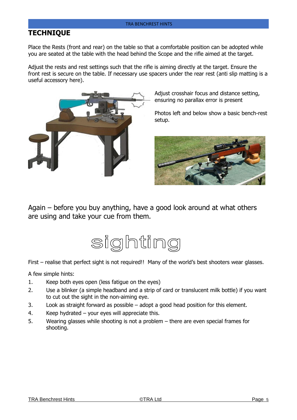#### **TECHNIQUE**

Place the Rests (front and rear) on the table so that a comfortable position can be adopted while you are seated at the table with the head behind the Scope and the rifle aimed at the target.

Adjust the rests and rest settings such that the rifle is aiming directly at the target. Ensure the front rest is secure on the table. If necessary use spacers under the rear rest (anti slip matting is a useful accessory here).



Adjust crosshair focus and distance setting, ensuring no parallax error is present

Photos left and below show a basic bench-rest setup.



Again – before you buy anything, have a good look around at what others are using and take your cue from them.



First – realise that perfect sight is not required!! Many of the world's best shooters wear glasses.

A few simple hints:

- 1. Keep both eyes open (less fatigue on the eyes)
- 2. Use a blinker (a simple headband and a strip of card or translucent milk bottle) if you want to cut out the sight in the non-aiming eye.
- 3. Look as straight forward as possible adopt a good head position for this element.
- 4. Keep hydrated your eyes will appreciate this.
- 5. Wearing glasses while shooting is not a problem there are even special frames for shooting.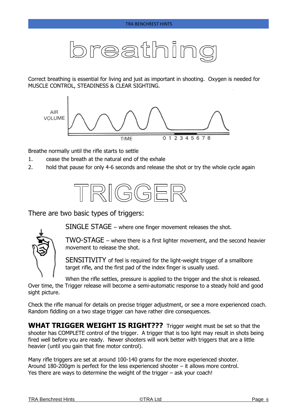# breathin

Correct breathing is essential for living and just as important in shooting. Oxygen is needed for MUSCLE CONTROL, STEADINESS & CLEAR SIGHTING.



Breathe normally until the rifle starts to settle

- 1. cease the breath at the natural end of the exhale
- 2. hold that pause for only 4-6 seconds and release the shot or try the whole cycle again



There are two basic types of triggers:



TWO-STAGE – where there is a first lighter movement, and the second heavier movement to release the shot.

SENSITIVITY of feel is required for the light-weight trigger of a smallbore target rifle, and the first pad of the index finger is usually used.

When the rifle settles, pressure is applied to the trigger and the shot is released. Over time, the Trigger release will become a semi-automatic response to a steady hold and good sight picture.

Check the rifle manual for details on precise trigger adjustment, or see a more experienced coach. Random fiddling on a two stage trigger can have rather dire consequences.

**WHAT TRIGGER WEIGHT IS RIGHT???** Trigger weight must be set so that the shooter has COMPLETE control of the trigger. A trigger that is too light may result in shots being fired well before you are ready. Newer shooters will work better with triggers that are a little heavier (until you gain that fine motor control).

Many rifle triggers are set at around 100-140 grams for the more experienced shooter. Around 180-200gm is perfect for the less experienced shooter – it allows more control. Yes there are ways to determine the weight of the trigger – ask your coach!

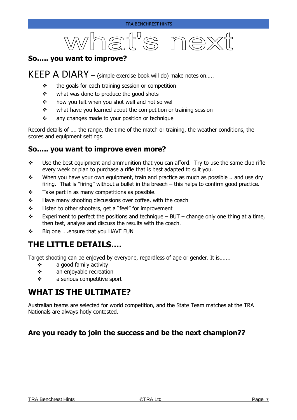# what's next

#### **So….. you want to improve?**

## KEEP A DIARY – (simple exercise book will do) make notes on.....

- ❖ the goals for each training session or competition
- ❖ what was done to produce the good shots
- ❖ how you felt when you shot well and not so well
- ❖ what have you learned about the competition or training session
- ❖ any changes made to your position or technique

Record details of …. the range, the time of the match or training, the weather conditions, the scores and equipment settings.

#### **So….. you want to improve even more?**

- $\div$  Use the best equipment and ammunition that you can afford. Try to use the same club rifle every week or plan to purchase a rifle that is best adapted to suit you.
- ❖ When you have your own equipment, train and practice as much as possible .. and use dry firing. That is "firing" without a bullet in the breech – this helps to confirm good practice.
- $\div$  Take part in as many competitions as possible.
- ❖ Have many shooting discussions over coffee, with the coach
- ❖ Listen to other shooters, get a "feel" for improvement
- $\div$  Experiment to perfect the positions and technique BUT change only one thing at a time, then test, analyse and discuss the results with the coach.
- ❖ Big one ….ensure that you HAVE FUN

# **THE LITTLE DETAILS….**

Target shooting can be enjoyed by everyone, regardless of age or gender. It is…....

- ❖ a good family activity
- ❖ an enjoyable recreation
- ❖ a serious competitive sport

## **WHAT IS THE ULTIMATE?**

Australian teams are selected for world competition, and the State Team matches at the TRA Nationals are always hotly contested.

#### **Are you ready to join the success and be the next champion??**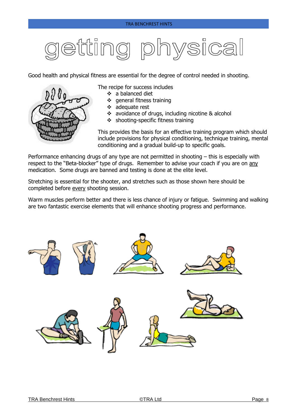# etting physica

Good health and physical fitness are essential for the degree of control needed in shooting.



#### The recipe for success includes

- ❖ a balanced diet
- ❖ general fitness training
- ❖ adequate rest
- ❖ avoidance of drugs, including nicotine & alcohol
- ❖ shooting-specific fitness training

This provides the basis for an effective training program which should include provisions for physical conditioning, technique training, mental conditioning and a gradual build-up to specific goals.

Performance enhancing drugs of any type are not permitted in shooting – this is especially with respect to the "Beta-blocker" type of drugs. Remember to advise your coach if you are on any medication. Some drugs are banned and testing is done at the elite level.

Stretching is essential for the shooter, and stretches such as those shown here should be completed before every shooting session.

Warm muscles perform better and there is less chance of injury or fatigue. Swimming and walking are two fantastic exercise elements that will enhance shooting progress and performance.

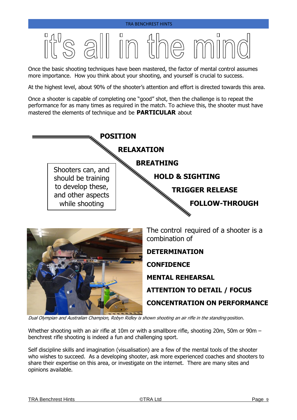# $\eta_{\rm L}$  $\Box$

Once the basic shooting techniques have been mastered, the factor of mental control assumes more importance. How you think about your shooting, and yourself is crucial to success.

At the highest level, about 90% of the shooter's attention and effort is directed towards this area.

Once a shooter is capable of completing one "good" shot, then the challenge is to repeat the performance for as many times as required in the match. To achieve this, the shooter must have mastered the elements of technique and be **PARTICULAR** about



**ATTENTION TO DETAIL / FOCUS**

**CONCENTRATION ON PERFORMANCE**

Dual Olympian and Australian Champion, Robyn Ridley is shown shooting an air rifle in the standing position.

Whether shooting with an air rifle at 10m or with a smallbore rifle, shooting 20m, 50m or 90m – benchrest rifle shooting is indeed a fun and challenging sport.

Self discipline skills and imagination (visualisation) are a few of the mental tools of the shooter who wishes to succeed. As a developing shooter, ask more experienced coaches and shooters to share their expertise on this area, or investigate on the internet. There are many sites and opinions available.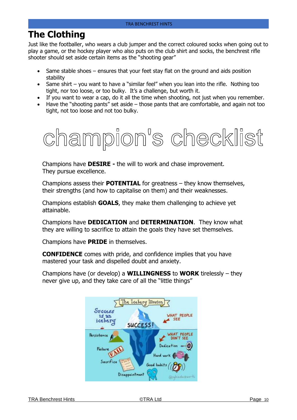# **The Clothing**

Just like the footballer, who wears a club jumper and the correct coloured socks when going out to play a game, or the hockey player who also puts on the club shirt and socks, the benchrest rifle shooter should set aside certain items as the "shooting gear"

- Same stable shoes ensures that your feet stay flat on the ground and aids position stability
- Same shirt you want to have a "similar feel" when you lean into the rifle. Nothing too tight, nor too loose, or too bulky. It's a challenge, but worth it.
- If you want to wear a cap, do it all the time when shooting, not just when you remember.
- Have the "shooting pants" set aside those pants that are comfortable, and again not too tight, not too loose and not too bulky.



Champions have **DESIRE -** the will to work and chase improvement. They pursue excellence.

Champions assess their **POTENTIAL** for greatness – they know themselves, their strengths (and how to capitalise on them) and their weaknesses.

Champions establish **GOALS**, they make them challenging to achieve yet attainable.

Champions have **DEDICATION** and **DETERMINATION**. They know what they are willing to sacrifice to attain the goals they have set themselves.

Champions have **PRIDE** in themselves.

**CONFIDENCE** comes with pride, and confidence implies that you have mastered your task and dispelled doubt and anxiety.

Champions have (or develop) a **WILLINGNESS** to **WORK** tirelessly – they never give up, and they take care of all the "little things"

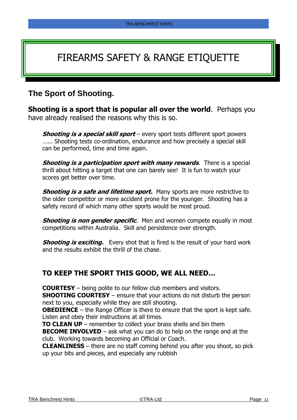# FIREARMS SAFETY & RANGE ETIQUETTE

### **The Sport of Shooting.**

**Shooting is a sport that is popular all over the world.** Perhaps you have already realised the reasons why this is so.

**Shooting is a special skill sport** – every sport tests different sport powers …... Shooting tests co-ordination, endurance and how precisely a special skill can be performed, time and time again.

**Shooting is a participation sport with many rewards**. There is a special thrill about hitting a target that one can barely see! It is fun to watch your scores get better over time.

**Shooting is a safe and lifetime sport.** Many sports are more restrictive to the older competitor or more accident prone for the younger. Shooting has a safety record of which many other sports would be most proud.

**Shooting is non gender specific.** Men and women compete equally in most competitions within Australia. Skill and persistence over strength.

**Shooting is exciting.** Every shot that is fired is the result of your hard work and the results exhibit the thrill of the chase.

#### **TO KEEP THE SPORT THIS GOOD, WE ALL NEED…**

**COURTESY** – being polite to our fellow club members and visitors.

**SHOOTING COURTESY** – ensure that your actions do not disturb the person next to you, especially while they are still shooting.

**OBEDIENCE** – the Range Officer is there to ensure that the sport is kept safe. Listen and obey their instructions at all times.

**TO CLEAN UP** – remember to collect your brass shells and bin them

**BECOME INVOLVED** – ask what you can do to help on the range and at the club. Working towards becoming an Official or Coach.

**CLEANLINESS** – there are no staff coming behind you after you shoot, so pick up your bits and pieces, and especially any rubbish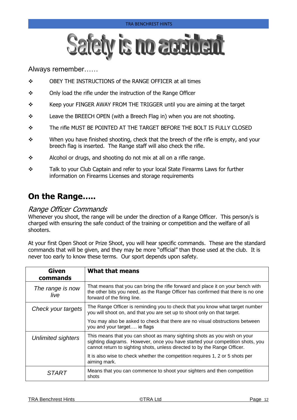

#### Always remember……

- ❖ OBEY THE INSTRUCTIONS of the RANGE OFFICER at all times
- ❖ Only load the rifle under the instruction of the Range Officer
- ❖ Keep your FINGER AWAY FROM THE TRIGGER until you are aiming at the target
- $\diamond$  Leave the BREECH OPEN (with a Breech Flag in) when you are not shooting.
- ❖ The rifle MUST BE POINTED AT THE TARGET BEFORE THE BOLT IS FULLY CLOSED
- ❖ When you have finished shooting, check that the breech of the rifle is empty, and your breech flag is inserted. The Range staff will also check the rifle.
- ❖ Alcohol or drugs, and shooting do not mix at all on a rifle range.
- ❖ Talk to your Club Captain and refer to your local State Firearms Laws for further information on Firearms Licenses and storage requirements

### **On the Range…..**

#### Range Officer Commands

Whenever you shoot, the range will be under the direction of a Range Officer. This person/s is charged with ensuring the safe conduct of the training or competition and the welfare of all shooters.

At your first Open Shoot or Prize Shoot, you will hear specific commands. These are the standard commands that will be given, and they may be more "official" than those used at the club. It is never too early to know these terms. Our sport depends upon safety.

| <b>Given</b><br>commands  | <b>What that means</b>                                                                                                                                                                                                                 |
|---------------------------|----------------------------------------------------------------------------------------------------------------------------------------------------------------------------------------------------------------------------------------|
| The range is now<br>live  | That means that you can bring the rifle forward and place it on your bench with<br>the other bits you need, as the Range Officer has confirmed that there is no one<br>forward of the firing line.                                     |
| Check your targets        | The Range Officer is reminding you to check that you know what target number<br>you will shoot on, and that you are set up to shoot only on that target.                                                                               |
|                           | You may also be asked to check that there are no visual obstructions between<br>you and your target ie flags                                                                                                                           |
| <b>Unlimited sighters</b> | This means that you can shoot as many sighting shots as you wish on your<br>sighting diagrams. However, once you have started your competition shots, you<br>cannot return to sighting shots, unless directed to by the Range Officer. |
|                           | It is also wise to check whether the competition requires 1, 2 or 5 shots per<br>aiming mark.                                                                                                                                          |
| <b>START</b>              | Means that you can commence to shoot your sighters and then competition<br>shots                                                                                                                                                       |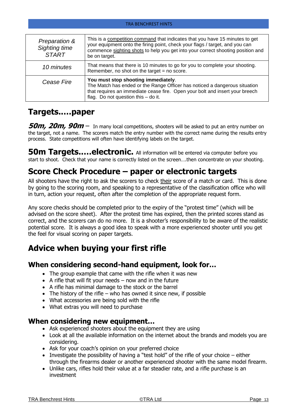| Preparation &<br>Sighting time<br><b>START</b> | This is a competition command that indicates that you have 15 minutes to get<br>your equipment onto the firing point, check your flags / target, and you can<br>commence sighting shots to help you get into your correct shooting position and<br>be on target. |
|------------------------------------------------|------------------------------------------------------------------------------------------------------------------------------------------------------------------------------------------------------------------------------------------------------------------|
| 10 minutes                                     | That means that there is 10 minutes to go for you to complete your shooting.<br>Remember, no shot on the target $=$ no score.                                                                                                                                    |
| Cease Fire                                     | You must stop shooting immediately.<br>The Match has ended or the Range Officer has noticed a dangerous situation<br>that requires an immediate cease fire. Open your bolt and insert your breech<br>flag. Do not question this - do it.                         |

#### **Targets..…paper**

**50m, 20m, 90m** – In many local competitions, shooters will be asked to put an entry number on the target, not a name. The scorers match the entry number with the correct name during the results entry process. State competitions will often have identifying labels on the target.

**50m Targets.....electronic.** All information will be entered via computer before you start to shoot. Check that your name is correctly listed on the screen….then concentrate on your shooting.

# **Score Check Procedure – paper or electronic targets**

All shooters have the right to ask the scorers to check their score of a match or card. This is done by going to the scoring room, and speaking to a representative of the classification office who will in turn, action your request, often after the completion of the appropriate request form.

Any score checks should be completed prior to the expiry of the "protest time" (which will be advised on the score sheet). After the protest time has expired, then the printed scores stand as correct, and the scorers can do no more. It is a shooter's responsibility to be aware of the realistic potential score. It is always a good idea to speak with a more experienced shooter until you get the feel for visual scoring on paper targets.

# **Advice when buying your first rifle**

#### **When considering second-hand equipment, look for…**

- The group example that came with the rifle when it was new
- A rifle that will fit your needs  $-$  now and in the future
- A rifle has minimal damage to the stock or the barrel
- The history of the rifle who has owned it since new, if possible
- What accessories are being sold with the rifle
- What extras you will need to purchase

#### **When considering new equipment…**

- Ask experienced shooters about the equipment they are using
- Look at all the available information on the internet about the brands and models you are considering.
- Ask for your coach's opinion on your preferred choice
- Investigate the possibility of having a "test hold" of the rifle of your choice either through the firearms dealer or another experienced shooter with the same model firearm.
- Unlike cars, rifles hold their value at a far steadier rate, and a rifle purchase is an investment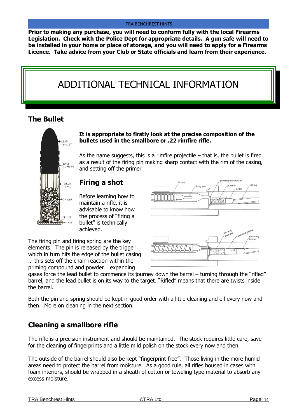**Prior to making any purchase, you will need to conform fully with the local Firearms Legislation. Check with the Police Dept for appropriate details. A gun safe will need to be installed in your home or place of storage, and you will need to apply for a Firearms Licence. Take advice from your Club or State officials and learn from their experience.**

# ADDITIONAL TECHNICAL INFORMATION

#### **The Bullet**



**It is appropriate to firstly look at the precise composition of the bullets used in the smallbore or .22 rimfire rifle.** 

As the name suggests, this is a rimfire projectile  $-$  that is, the bullet is fired as a result of the firing pin making sharp contact with the rim of the casing, and setting off the primer

#### **Firing a shot**

Before learning how to maintain a rifle, it is advisable to know how the process of "firing a bullet" is technically achieved.

The firing pin and firing spring are the key elements. The pin is released by the trigger which in turn hits the edge of the bullet casing … this sets off the chain reaction within the priming compound and powder… expanding



gases force the lead bullet to commence its journey down the barrel – turning through the "rifled" barrel, and the lead bullet is on its way to the target. "Rifled" means that there are twists inside the barrel.

Both the pin and spring should be kept in good order with a little cleaning and oil every now and then. More on cleaning in the next section.

#### **Cleaning a smallbore rifle**

The rifle is a precision instrument and should be maintained. The stock requires little care, save for the cleaning of fingerprints and a little mild polish on the stock every now and then.

The outside of the barrel should also be kept "fingerprint free". Those living in the more humid areas need to protect the barrel from moisture. As a good rule, all rifles housed in cases with foam interiors, should be wrapped in a sheath of cotton or toweling type material to absorb any excess moisture.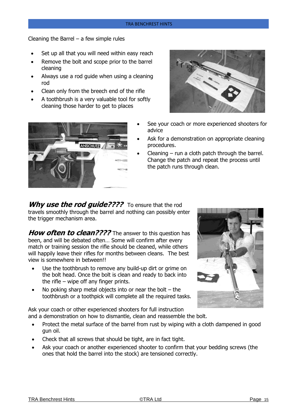Cleaning the Barrel  $-$  a few simple rules

- Set up all that you will need within easy reach
- Remove the bolt and scope prior to the barrel cleaning
- Always use a rod guide when using a cleaning rod
- Clean only from the breech end of the rifle
- A toothbrush is a very valuable tool for softly cleaning those harder to get to places

ANSCHUTZ



- See your coach or more experienced shooters for advice
- Ask for a demonstration on appropriate cleaning procedures.
- Cleaning  $-$  run a cloth patch through the barrel. Change the patch and repeat the process until the patch runs through clean.

**Why use the rod guide????** To ensure that the rod travels smoothly through the barrel and nothing can possibly enter the trigger mechanism area.

**How often to clean????** The answer to this question has been, and will be debated often… Some will confirm after every match or training session the rifle should be cleaned, while others will happily leave their rifles for months between cleans. The best view is somewhere in between!!

- Use the toothbrush to remove any build-up dirt or grime on the bolt head. Once the bolt is clean and ready to back into the rifle – wipe off any finger prints.
- No poking sharp metal objects into or near the bolt  $-$  the toothbrush or a toothpick will complete all the required tasks.

Ask your coach or other experienced shooters for full instruction and a demonstration on how to dismantle, clean and reassemble the bolt.

- Protect the metal surface of the barrel from rust by wiping with a cloth dampened in good gun oil.
- Check that all screws that should be tight, are in fact tight.
- Ask your coach or another experienced shooter to confirm that your bedding screws (the ones that hold the barrel into the stock) are tensioned correctly.